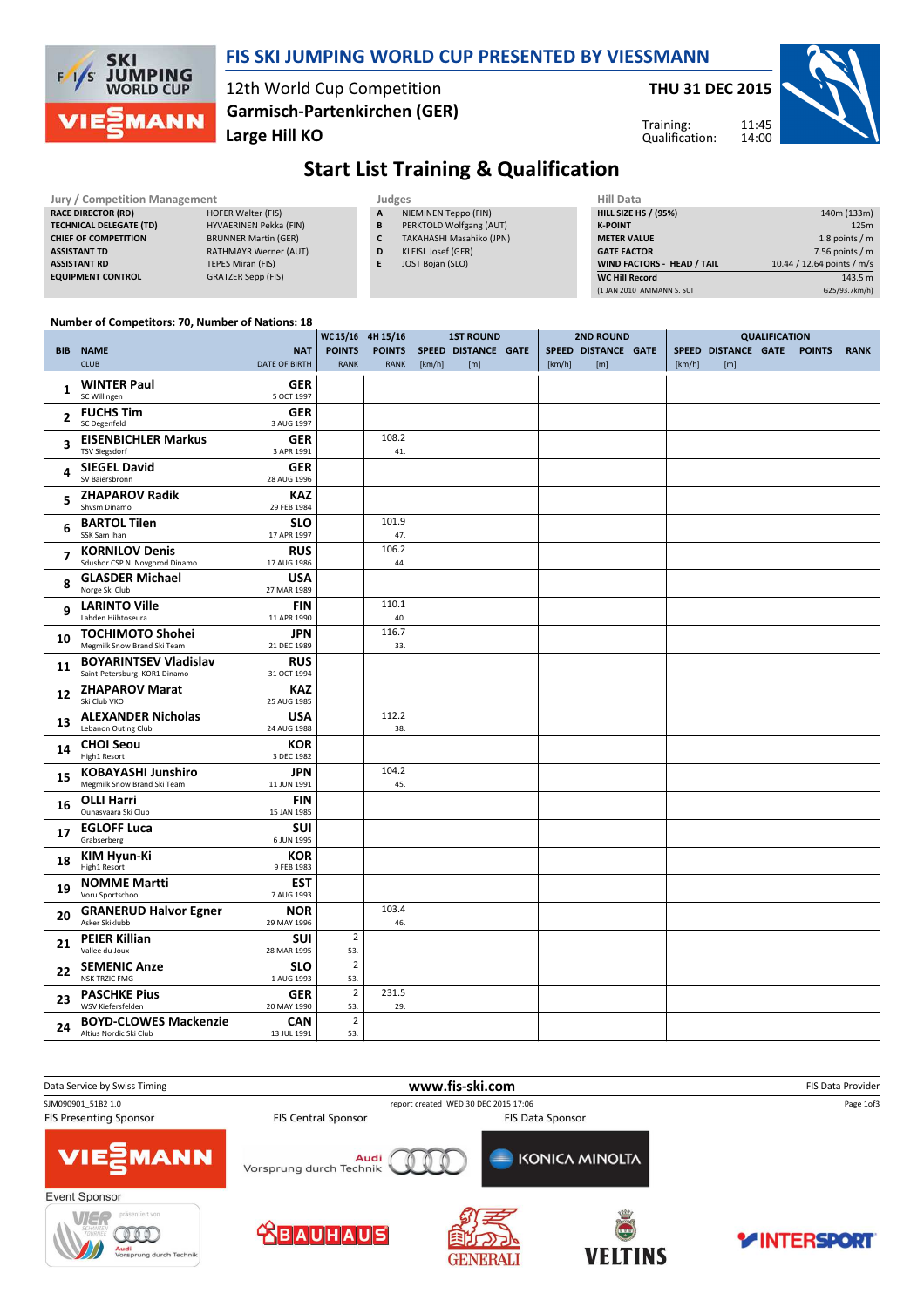

### FIS SKI JUMPING WORLD CUP PRESENTED BY VIESSMANN

12th World Cup Competition Large Hill KO Garmisch-Partenkirchen (GER) THU 31 DEC 2015



Training: Qualification:

# Start List Training & Qualification

|                              |                                      |                          |        | <b>Hill Data</b>   |
|------------------------------|--------------------------------------|--------------------------|--------|--------------------|
| <b>HOFER Walter (FIS)</b>    | $\mathbf{A}$                         | NIEMINEN Teppo (FIN)     |        | <b>HILL SIZE H</b> |
| HYVAERINEN Pekka (FIN)       | B                                    | PERKTOLD Wolfgang (AUT)  |        | <b>K-POINT</b>     |
| <b>BRUNNER Martin (GER)</b>  |                                      | TAKAHASHI Masahiko (JPN) |        | <b>METER VAI</b>   |
| <b>RATHMAYR Werner (AUT)</b> | D                                    | KLEISL Josef (GER)       |        | <b>GATE FACT</b>   |
| TEPES Miran (FIS)            |                                      | JOST Bojan (SLO)         |        | <b>WIND FACT</b>   |
| <b>GRATZER Sepp (FIS)</b>    |                                      |                          |        | <b>WC Hill Red</b> |
|                              | <b>Jury / Competition Management</b> |                          | Judges |                    |

| Hill Data                         |                            |
|-----------------------------------|----------------------------|
| <b>HILL SIZE HS / (95%)</b>       | 140m (133m)                |
| <b>K-POINT</b>                    | 125m                       |
| <b>METER VALUE</b>                | 1.8 points $/m$            |
| <b>GATE FACTOR</b>                | 7.56 points $/m$           |
| <b>WIND FACTORS - HEAD / TAIL</b> | 10.44 / 12.64 points / m/s |
| <b>WC Hill Record</b>             | 143.5 m                    |
| (1 JAN 2010 AMMANN S. SUI         | G25/93.7km/h)              |

11:45 14:00

#### Number of Competitors: 70, Number of Nations: 18

|                          |                                                              |                             |                              | WC 15/16 4H 15/16            |        | <b>1ST ROUND</b>           | <b>2ND ROUND</b> |                            | <b>QUALIFICATION</b> |        |                            |  |               |             |
|--------------------------|--------------------------------------------------------------|-----------------------------|------------------------------|------------------------------|--------|----------------------------|------------------|----------------------------|----------------------|--------|----------------------------|--|---------------|-------------|
|                          | <b>BIB NAME</b><br><b>CLUB</b>                               | <b>NAT</b><br>DATE OF BIRTH | <b>POINTS</b><br><b>RANK</b> | <b>POINTS</b><br><b>RANK</b> | [km/h] | SPEED DISTANCE GATE<br>[m] | [km/h]           | SPEED DISTANCE GATE<br>[m] |                      | [km/h] | SPEED DISTANCE GATE<br>[m] |  | <b>POINTS</b> | <b>RANK</b> |
| 1                        | <b>WINTER Paul</b><br>SC Willingen                           | <b>GER</b><br>5 OCT 1997    |                              |                              |        |                            |                  |                            |                      |        |                            |  |               |             |
| $\overline{2}$           | <b>FUCHS Tim</b><br>SC Degenfeld                             | <b>GER</b><br>3 AUG 1997    |                              |                              |        |                            |                  |                            |                      |        |                            |  |               |             |
| 3                        | <b>EISENBICHLER Markus</b><br><b>TSV Siegsdorf</b>           | <b>GER</b><br>3 APR 1991    |                              | 108.2<br>41.                 |        |                            |                  |                            |                      |        |                            |  |               |             |
| 4                        | <b>SIEGEL David</b><br>SV Baiersbronn                        | <b>GER</b><br>28 AUG 1996   |                              |                              |        |                            |                  |                            |                      |        |                            |  |               |             |
| 5                        | <b>ZHAPAROV Radik</b><br>Shysm Dinamo                        | <b>KAZ</b><br>29 FEB 1984   |                              |                              |        |                            |                  |                            |                      |        |                            |  |               |             |
| 6                        | <b>BARTOL Tilen</b><br>SSK Sam Ihan                          | <b>SLO</b><br>17 APR 1997   |                              | 101.9<br>47.                 |        |                            |                  |                            |                      |        |                            |  |               |             |
| $\overline{\phantom{a}}$ | <b>KORNILOV Denis</b><br>Sdushor CSP N. Novgorod Dinamo      | <b>RUS</b><br>17 AUG 1986   |                              | 106.2<br>44.                 |        |                            |                  |                            |                      |        |                            |  |               |             |
| 8                        | <b>GLASDER Michael</b><br>Norge Ski Club                     | <b>USA</b><br>27 MAR 1989   |                              |                              |        |                            |                  |                            |                      |        |                            |  |               |             |
| 9                        | <b>LARINTO Ville</b><br>Lahden Hiihtoseura                   | <b>FIN</b><br>11 APR 1990   |                              | 110.1<br>40.                 |        |                            |                  |                            |                      |        |                            |  |               |             |
| 10                       | <b>TOCHIMOTO Shohei</b><br>Megmilk Snow Brand Ski Team       | <b>JPN</b><br>21 DEC 1989   |                              | 116.7<br>33.                 |        |                            |                  |                            |                      |        |                            |  |               |             |
| 11                       | <b>BOYARINTSEV Vladislav</b><br>Saint-Petersburg KOR1 Dinamo | <b>RUS</b><br>31 OCT 1994   |                              |                              |        |                            |                  |                            |                      |        |                            |  |               |             |
| 12                       | <b>ZHAPAROV Marat</b><br>Ski Club VKO                        | <b>KAZ</b><br>25 AUG 1985   |                              |                              |        |                            |                  |                            |                      |        |                            |  |               |             |
| 13                       | <b>ALEXANDER Nicholas</b><br>Lebanon Outing Club             | <b>USA</b><br>24 AUG 1988   |                              | 112.2<br>38.                 |        |                            |                  |                            |                      |        |                            |  |               |             |
| 14                       | <b>CHOI Seou</b><br>High1 Resort                             | KOR<br>3 DEC 1982           |                              |                              |        |                            |                  |                            |                      |        |                            |  |               |             |
| 15                       | <b>KOBAYASHI Junshiro</b><br>Megmilk Snow Brand Ski Team     | <b>JPN</b><br>11 JUN 1991   |                              | 104.2<br>45.                 |        |                            |                  |                            |                      |        |                            |  |               |             |
| 16                       | <b>OLLI Harri</b><br>Ounasvaara Ski Club                     | <b>FIN</b><br>15 JAN 1985   |                              |                              |        |                            |                  |                            |                      |        |                            |  |               |             |
| 17                       | <b>EGLOFF Luca</b><br>Grabserberg                            | <b>SUI</b><br>6 JUN 1995    |                              |                              |        |                            |                  |                            |                      |        |                            |  |               |             |
| 18                       | <b>KIM Hyun-Ki</b><br>High1 Resort                           | KOR<br>9 FEB 1983           |                              |                              |        |                            |                  |                            |                      |        |                            |  |               |             |
| 19                       | <b>NOMME Martti</b><br>Voru Sportschool                      | <b>EST</b><br>7 AUG 1993    |                              |                              |        |                            |                  |                            |                      |        |                            |  |               |             |
| 20                       | <b>GRANERUD Halvor Egner</b><br>Asker Skiklubb               | <b>NOR</b><br>29 MAY 1996   |                              | 103.4<br>46.                 |        |                            |                  |                            |                      |        |                            |  |               |             |
| 21                       | <b>PEIER Killian</b><br>Vallee du Joux                       | <b>SUI</b><br>28 MAR 1995   | $\overline{2}$<br>53.        |                              |        |                            |                  |                            |                      |        |                            |  |               |             |
| 22                       | <b>SEMENIC Anze</b><br><b>NSK TRZIC FMG</b>                  | <b>SLO</b><br>1 AUG 1993    | $\overline{2}$<br>53.        |                              |        |                            |                  |                            |                      |        |                            |  |               |             |
| 23                       | <b>PASCHKE Pius</b><br>WSV Kiefersfelden                     | <b>GER</b><br>20 MAY 1990   | $\overline{2}$<br>53.        | 231.5<br>29.                 |        |                            |                  |                            |                      |        |                            |  |               |             |
| 24                       | <b>BOYD-CLOWES Mackenzie</b><br>Altius Nordic Ski Club       | <b>CAN</b><br>13 JUL 1991   | $\overline{2}$<br>53.        |                              |        |                            |                  |                            |                      |        |                            |  |               |             |

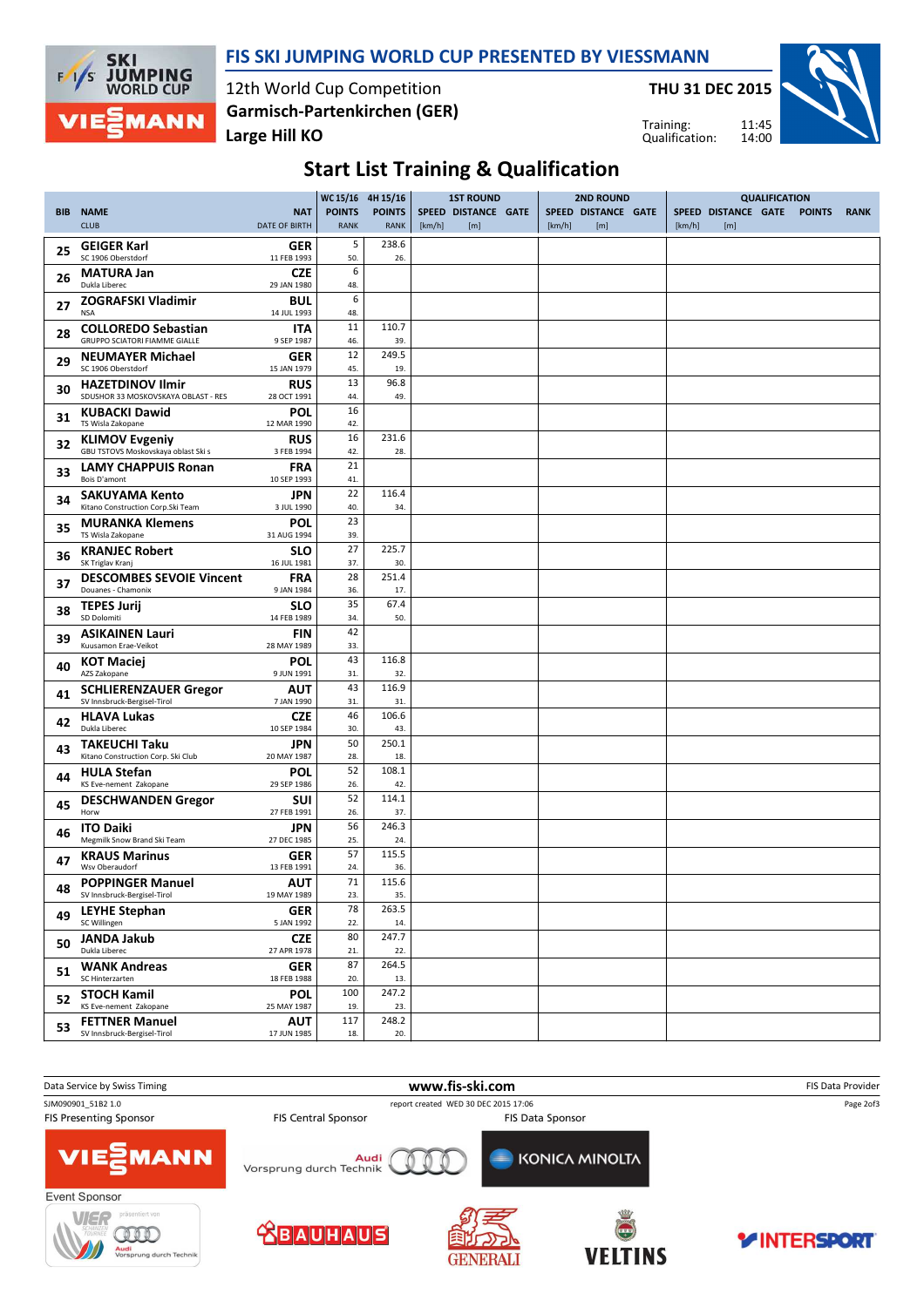

### FIS SKI JUMPING WORLD CUP PRESENTED BY VIESSMANN

12th World Cup Competition Large Hill KO Garmisch-Partenkirchen (GER)

THU 31 DEC 2015



Training: Qualification:

# Start List Training & Qualification

|            |                                                                    |                             | WC 15/16 4H 15/16            |                              |        | <b>1ST ROUND</b>           |        | <b>2ND ROUND</b>           |        |                            | <b>QUALIFICATION</b> |               |             |
|------------|--------------------------------------------------------------------|-----------------------------|------------------------------|------------------------------|--------|----------------------------|--------|----------------------------|--------|----------------------------|----------------------|---------------|-------------|
| <b>BIB</b> | <b>NAME</b><br><b>CLUB</b>                                         | <b>NAT</b><br>DATE OF BIRTH | <b>POINTS</b><br><b>RANK</b> | <b>POINTS</b><br><b>RANK</b> | [km/h] | SPEED DISTANCE GATE<br>[m] | [km/h] | SPEED DISTANCE GATE<br>[m] | [km/h] | SPEED DISTANCE GATE<br>[m] |                      | <b>POINTS</b> | <b>RANK</b> |
| 25         | <b>GEIGER Karl</b><br>SC 1906 Oberstdorf                           | GER<br>11 FEB 1993          | 5<br>50.                     | 238.6<br>26.                 |        |                            |        |                            |        |                            |                      |               |             |
| 26         | <b>MATURA Jan</b><br>Dukla Liberec                                 | <b>CZE</b><br>29 JAN 1980   | 6<br>48.                     |                              |        |                            |        |                            |        |                            |                      |               |             |
| 27         | <b>ZOGRAFSKI Vladimir</b><br><b>NSA</b>                            | BUL<br>14 JUL 1993          | 6<br>48.                     |                              |        |                            |        |                            |        |                            |                      |               |             |
| 28         | <b>COLLOREDO Sebastian</b><br><b>GRUPPO SCIATORI FIAMME GIALLE</b> | <b>ITA</b><br>9 SEP 1987    | 11<br>46.                    | 110.7<br>39.                 |        |                            |        |                            |        |                            |                      |               |             |
| 29         | <b>NEUMAYER Michael</b><br>SC 1906 Oberstdorf                      | GER<br>15 JAN 1979          | 12                           | 249.5                        |        |                            |        |                            |        |                            |                      |               |             |
| 30         | <b>HAZETDINOV Ilmir</b>                                            | <b>RUS</b>                  | 45.<br>13                    | 19.<br>96.8                  |        |                            |        |                            |        |                            |                      |               |             |
| 31         | SDUSHOR 33 MOSKOVSKAYA OBLAST - RES<br><b>KUBACKI Dawid</b>        | 28 OCT 1991<br><b>POL</b>   | 44.<br>16                    | 49.                          |        |                            |        |                            |        |                            |                      |               |             |
| 32         | TS Wisla Zakopane<br><b>KLIMOV Evgeniy</b>                         | 12 MAR 1990<br><b>RUS</b>   | 42.<br>16                    | 231.6                        |        |                            |        |                            |        |                            |                      |               |             |
| 33         | GBU TSTOVS Moskovskaya oblast Ski s<br><b>LAMY CHAPPUIS Ronan</b>  | 3 FEB 1994<br><b>FRA</b>    | 42.<br>21                    | 28.                          |        |                            |        |                            |        |                            |                      |               |             |
| 34         | Bois D'amont<br><b>SAKUYAMA Kento</b>                              | 10 SEP 1993<br><b>JPN</b>   | 41.<br>22                    | 116.4                        |        |                            |        |                            |        |                            |                      |               |             |
| 35         | Kitano Construction Corp.Ski Team<br><b>MURANKA Klemens</b>        | 3 JUL 1990<br>POL           | 40.<br>23                    | 34.                          |        |                            |        |                            |        |                            |                      |               |             |
|            | TS Wisla Zakopane<br><b>KRANJEC Robert</b>                         | 31 AUG 1994<br><b>SLO</b>   | 39.<br>27                    | 225.7                        |        |                            |        |                            |        |                            |                      |               |             |
| 36         | SK Triglav Krani<br><b>DESCOMBES SEVOIE Vincent</b>                | 16 JUL 1981<br><b>FRA</b>   | 37.<br>28                    | 30.<br>251.4                 |        |                            |        |                            |        |                            |                      |               |             |
| 37         | Douanes - Chamonix<br><b>TEPES Jurij</b>                           | 9 JAN 1984<br><b>SLO</b>    | 36.<br>35                    | 17.<br>67.4                  |        |                            |        |                            |        |                            |                      |               |             |
| 38         | SD Dolomiti                                                        | 14 FEB 1989                 | 34.<br>42                    | 50.                          |        |                            |        |                            |        |                            |                      |               |             |
| 39         | <b>ASIKAINEN Lauri</b><br>Kuusamon Erae-Veikot                     | <b>FIN</b><br>28 MAY 1989   | 33.<br>43                    |                              |        |                            |        |                            |        |                            |                      |               |             |
| 40         | <b>KOT Maciej</b><br>AZS Zakopane                                  | <b>POL</b><br>9 JUN 1991    | 31.                          | 116.8<br>32.                 |        |                            |        |                            |        |                            |                      |               |             |
| 41         | <b>SCHLIERENZAUER Gregor</b><br>SV Innsbruck-Bergisel-Tirol        | <b>AUT</b><br>7 JAN 1990    | 43<br>31.                    | 116.9<br>31.                 |        |                            |        |                            |        |                            |                      |               |             |
| 42         | <b>HLAVA Lukas</b><br>Dukla Liberec                                | <b>CZE</b><br>10 SEP 1984   | 46<br>30.                    | 106.6<br>43.                 |        |                            |        |                            |        |                            |                      |               |             |
| 43         | <b>TAKEUCHI Taku</b><br>Kitano Construction Corp. Ski Club         | JPN<br>20 MAY 1987          | 50<br>28.                    | 250.1<br>18.                 |        |                            |        |                            |        |                            |                      |               |             |
| 44         | <b>HULA Stefan</b><br>KS Eve-nement Zakopane                       | POL<br>29 SEP 1986          | 52<br>26.                    | 108.1<br>42.                 |        |                            |        |                            |        |                            |                      |               |             |
| 45         | <b>DESCHWANDEN Gregor</b><br>Horw                                  | <b>SUI</b><br>27 FEB 1991   | 52<br>26.                    | 114.1<br>37.                 |        |                            |        |                            |        |                            |                      |               |             |
| 46         | <b>ITO Daiki</b><br>Megmilk Snow Brand Ski Team                    | <b>JPN</b><br>27 DEC 1985   | 56<br>25.                    | 246.3<br>24.                 |        |                            |        |                            |        |                            |                      |               |             |
| 47         | <b>KRAUS Marinus</b><br>Wsv Oberaudorf                             | GER<br>13 FEB 1991          | 57<br>24.                    | 115.5<br>36.                 |        |                            |        |                            |        |                            |                      |               |             |
| 48         | <b>POPPINGER Manuel</b><br>SV Innsbruck-Bergisel-Tirol             | <b>AUT</b><br>19 MAY 1989   | 71<br>23.                    | 115.6<br>35.                 |        |                            |        |                            |        |                            |                      |               |             |
| 49         | <b>LEYHE Stephan</b><br>SC Willingen                               | <b>GER</b><br>5 JAN 1992    | 78<br>22.                    | 263.5<br>14.                 |        |                            |        |                            |        |                            |                      |               |             |
| 50         | <b>JANDA Jakub</b><br>Dukla Liberec                                | <b>CZE</b><br>27 APR 1978   | 80<br>21.                    | 247.7<br>22.                 |        |                            |        |                            |        |                            |                      |               |             |
| 51         | <b>WANK Andreas</b><br>SC Hinterzarten                             | GER<br>18 FEB 1988          | 87<br>20.                    | 264.5<br>13.                 |        |                            |        |                            |        |                            |                      |               |             |
| 52         | <b>STOCH Kamil</b><br>KS Eve-nement Zakopane                       | <b>POL</b><br>25 MAY 1987   | 100<br>19.                   | 247.2<br>23.                 |        |                            |        |                            |        |                            |                      |               |             |
| 53         | <b>FETTNER Manuel</b>                                              | <b>AUT</b>                  | 117                          | 248.2                        |        |                            |        |                            |        |                            |                      |               |             |
|            | SV Innsbruck-Bergisel-Tirol                                        | 17 JUN 1985                 | 18.                          | 20.                          |        |                            |        |                            |        |                            |                      |               |             |